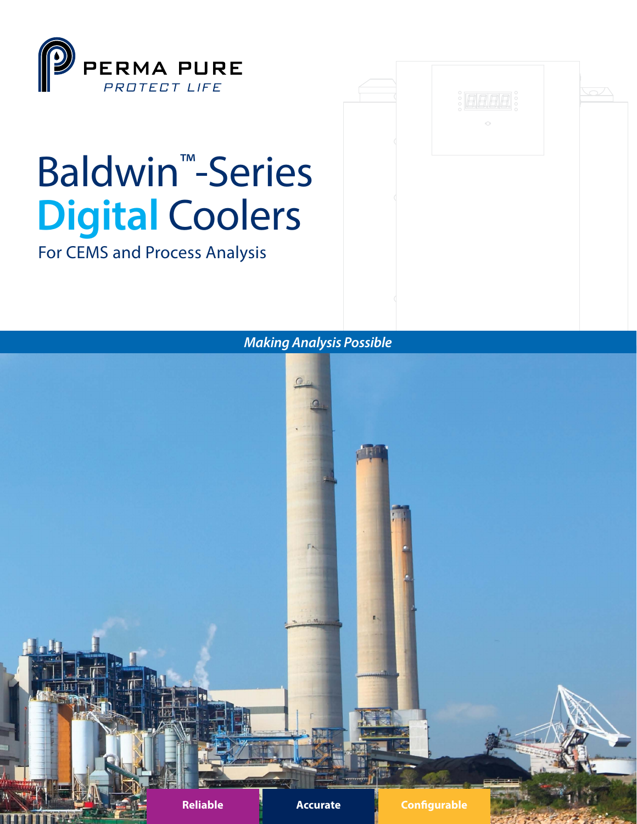

Baldwin™-Series

**Digital** Coolers

For CEMS and Process Analysis



## *Making Analysis Possible*

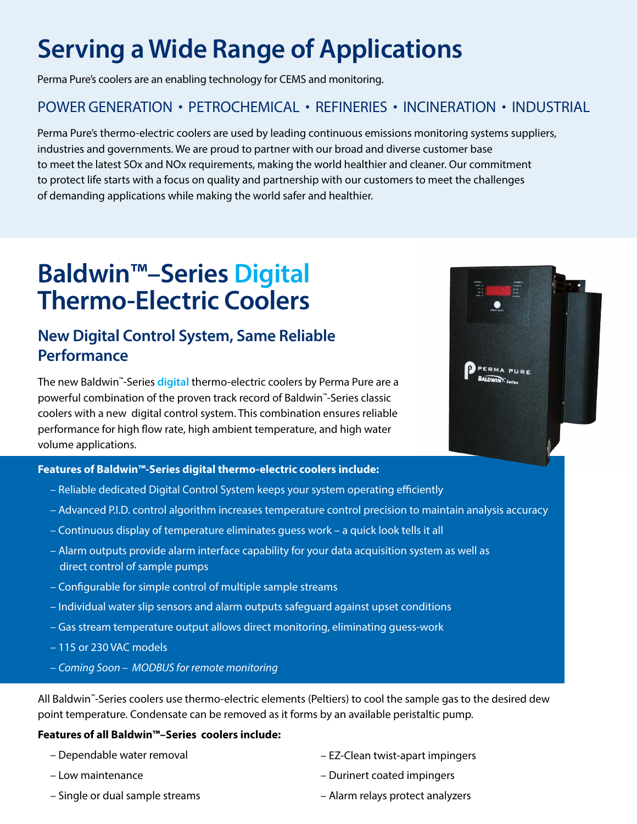# **Serving a Wide Range of Applications**

Perma Pure's coolers are an enabling technology for CEMS and monitoring.

#### POWER GENERATION • PETROCHEMICAL • REFINERIES • INCINERATION • INDUSTRIAL

Perma Pure's thermo-electric coolers are used by leading continuous emissions monitoring systems suppliers, industries and governments. We are proud to partner with our broad and diverse customer base to meet the latest SOx and NOx requirements, making the world healthier and cleaner. Our commitment to protect life starts with a focus on quality and partnership with our customers to meet the challenges of demanding applications while making the world safer and healthier.

# **Baldwin™–Series Digital Thermo-Electric Coolers**

### **New Digital Control System, Same Reliable Performance**

The new Baldwin™-Series **digital** thermo-electric coolers by Perma Pure are a powerful combination of the proven track record of Baldwin™-Series classic coolers with a new digital control system. This combination ensures reliable performance for high flow rate, high ambient temperature, and high water volume applications.

#### **Features of Baldwin™-Series digital thermo-electric coolers include:**

- Reliable dedicated Digital Control System keeps your system operating efficiently
- Advanced P.I.D. control algorithm increases temperature control precision to maintain analysis accuracy
- Continuous display of temperature eliminates guess work a quick look tells it all
- Alarm outputs provide alarm interface capability for your data acquisition system as well as direct control of sample pumps
- Configurable for simple control of multiple sample streams
- Individual water slip sensors and alarm outputs safeguard against upset conditions
- Gas stream temperature output allows direct monitoring, eliminating guess-work
- 115 or 230 VAC models
- *Coming Soon MODBUS for remote monitoring*

All Baldwin™-Series coolers use thermo-electric elements (Peltiers) to cool the sample gas to the desired dew point temperature. Condensate can be removed as it forms by an available peristaltic pump.

#### **Features of all Baldwin™–Series coolers include:**

| - Dependable water removal | - EZ-Clean twist-apart impingers |
|----------------------------|----------------------------------|
| – Low maintenance          | - Durinert coated impingers      |

– Single or dual sample streams – Alarm relays protect analyzers

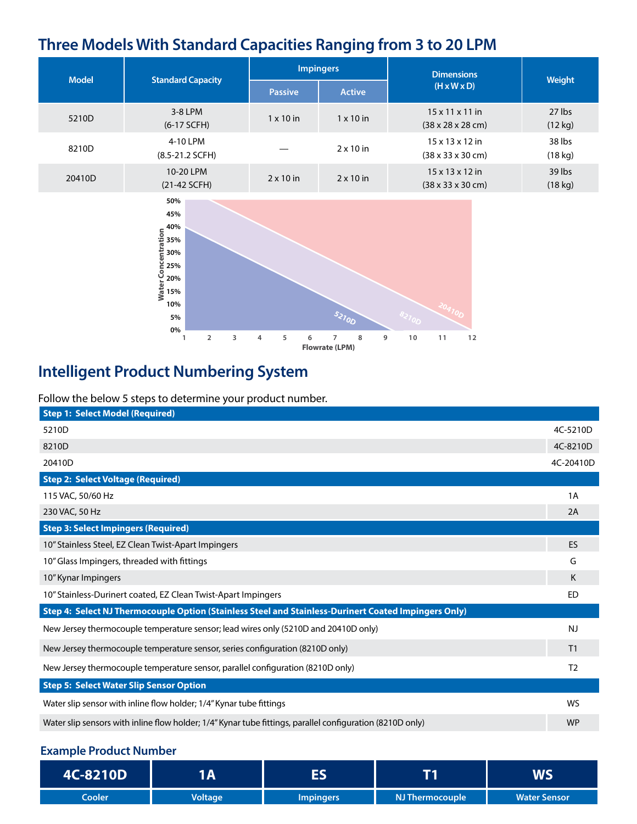## **Three Models With Standard Capacities Ranging from 3 to 20 LPM**

| <b>Model</b> | <b>Standard Capacity</b>      | <b>Impingers</b> |                  | Dimensions                                                           |                   |
|--------------|-------------------------------|------------------|------------------|----------------------------------------------------------------------|-------------------|
|              |                               | <b>Passive</b>   | <b>Active</b>    | $(H \times W \times D)$                                              | Weight            |
| 5210D        | 3-8 LPM<br>$(6-17$ SCFH)      | $1 \times 10$ in | $1 \times 10$ in | $15 \times 11 \times 11$ in<br>$(38 \times 28 \times 28 \text{ cm})$ | 27 lbs<br>(12 kg) |
| 8210D        | 4-10 LPM<br>$(8.5-21.2 SCFH)$ |                  | $2 \times 10$ in | $15 \times 13 \times 12$ in<br>$(38 \times 33 \times 30 \text{ cm})$ | 38 lbs<br>(18 kg) |
| 20410D       | 10-20 LPM<br>$(21-42 SCFH)$   | $2 \times 10$ in | $2 \times 10$ in | $15 \times 13 \times 12$ in<br>$(38 \times 33 \times 30 \text{ cm})$ | 39 lbs<br>(18 kg) |



# **Intelligent Product Numbering System**

Follow the below 5 steps to determine your product number.

| <b>Step 1: Select Model (Required)</b>                                                                    |                |  |  |  |
|-----------------------------------------------------------------------------------------------------------|----------------|--|--|--|
| 5210D                                                                                                     | 4C-5210D       |  |  |  |
| 8210D                                                                                                     | 4C-8210D       |  |  |  |
| 20410D                                                                                                    | 4C-20410D      |  |  |  |
| <b>Step 2: Select Voltage (Required)</b>                                                                  |                |  |  |  |
| 115 VAC, 50/60 Hz                                                                                         | 1A             |  |  |  |
| 230 VAC, 50 Hz                                                                                            | 2A             |  |  |  |
| <b>Step 3: Select Impingers (Required)</b>                                                                |                |  |  |  |
| 10" Stainless Steel, EZ Clean Twist-Apart Impingers                                                       | ES             |  |  |  |
| 10" Glass Impingers, threaded with fittings                                                               | G              |  |  |  |
| 10" Kynar Impingers                                                                                       | K              |  |  |  |
| 10" Stainless-Durinert coated, EZ Clean Twist-Apart Impingers                                             | <b>ED</b>      |  |  |  |
| Step 4: Select NJ Thermocouple Option (Stainless Steel and Stainless-Durinert Coated Impingers Only)      |                |  |  |  |
| New Jersey thermocouple temperature sensor; lead wires only (5210D and 20410D only)                       | <b>NJ</b>      |  |  |  |
| New Jersey thermocouple temperature sensor, series configuration (8210D only)                             | T1             |  |  |  |
| New Jersey thermocouple temperature sensor, parallel configuration (8210D only)                           | T <sub>2</sub> |  |  |  |
| <b>Step 5: Select Water Slip Sensor Option</b>                                                            |                |  |  |  |
| Water slip sensor with inline flow holder; 1/4" Kynar tube fittings                                       | WS             |  |  |  |
| Water slip sensors with inline flow holder; 1/4" Kynar tube fittings, parallel configuration (8210D only) | <b>WP</b>      |  |  |  |

#### **Example Product Number**

| 4C-8210D | l A            | - 2              |                 | WS                  |
|----------|----------------|------------------|-----------------|---------------------|
| Cooler   | <b>Voltage</b> | <b>Impingers</b> | NJ Thermocouple | <b>Water Sensor</b> |